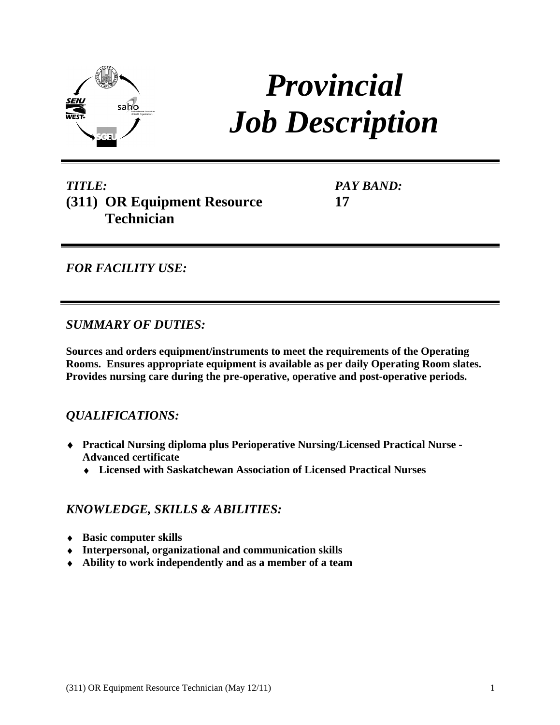

# *Provincial Job Description*

# *TITLE:* **(311) OR Equipment Resource Technician PAY BAND:**<br> **17**<br> **17**<br> **17**<br> **17**<br> **17**<br> **17**

**17**

*FOR FACILITY USE:* 

# *SUMMARY OF DUTIES:*

**Sources and orders equipment/instruments to meet the requirements of the Operating Rooms. Ensures appropriate equipment is available as per daily Operating Room slates. Provides nursing care during the pre-operative, operative and post-operative periods.**

# *QUALIFICATIONS:*

- **Practical Nursing diploma plus Perioperative Nursing/Licensed Practical Nurse - Advanced certificate** 
	- **Licensed with Saskatchewan Association of Licensed Practical Nurses**

# *KNOWLEDGE, SKILLS & ABILITIES:*

- **Basic computer skills**
- **Interpersonal, organizational and communication skills**
- **Ability to work independently and as a member of a team**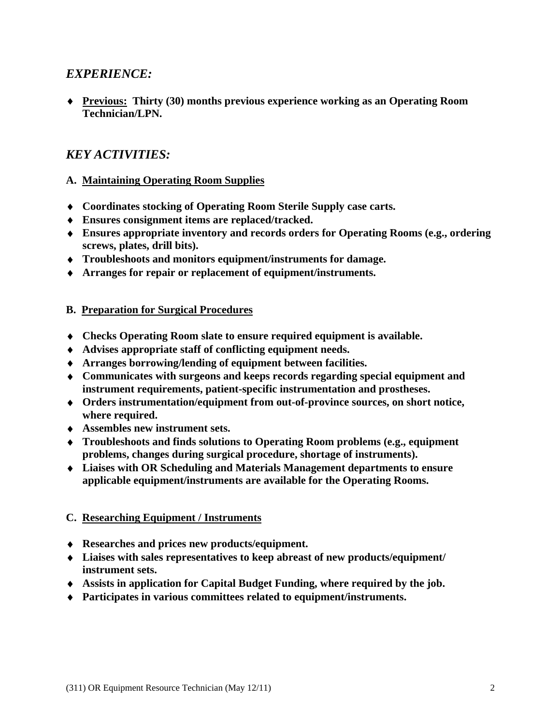# *EXPERIENCE:*

**Previous:****Thirty (30) months previous experience working as an Operating Room Technician/LPN.**

## *KEY ACTIVITIES:*

#### **A. Maintaining Operating Room Supplies**

- **Coordinates stocking of Operating Room Sterile Supply case carts.**
- **Ensures consignment items are replaced/tracked.**
- **Ensures appropriate inventory and records orders for Operating Rooms (e.g., ordering screws, plates, drill bits).**
- **Troubleshoots and monitors equipment/instruments for damage.**
- **Arranges for repair or replacement of equipment/instruments.**

#### **B. Preparation for Surgical Procedures**

- **Checks Operating Room slate to ensure required equipment is available.**
- **Advises appropriate staff of conflicting equipment needs.**
- **Arranges borrowing/lending of equipment between facilities.**
- **Communicates with surgeons and keeps records regarding special equipment and instrument requirements, patient-specific instrumentation and prostheses.**
- **Orders instrumentation/equipment from out-of-province sources, on short notice, where required.**
- **Assembles new instrument sets.**
- **Troubleshoots and finds solutions to Operating Room problems (e.g., equipment problems, changes during surgical procedure, shortage of instruments).**
- **Liaises with OR Scheduling and Materials Management departments to ensure applicable equipment/instruments are available for the Operating Rooms.**

#### **C. Researching Equipment / Instruments**

- **Researches and prices new products/equipment.**
- **Liaises with sales representatives to keep abreast of new products/equipment/ instrument sets.**
- **Assists in application for Capital Budget Funding, where required by the job.**
- **Participates in various committees related to equipment/instruments.**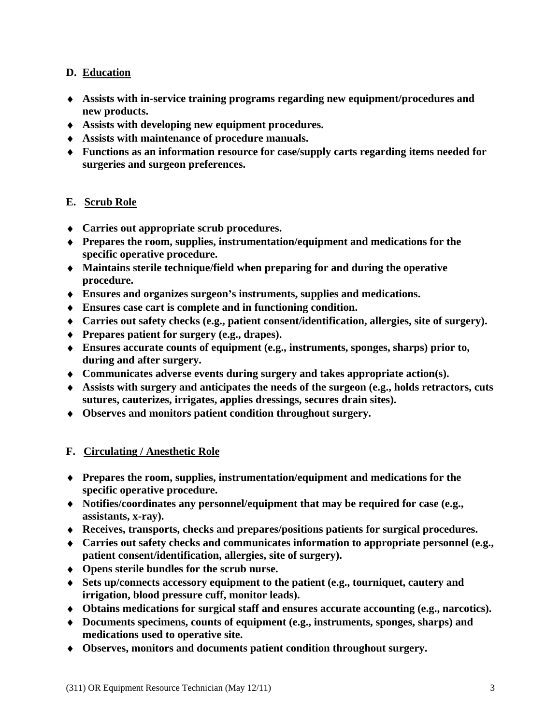### **D. Education**

- **Assists with in-service training programs regarding new equipment/procedures and new products.**
- **Assists with developing new equipment procedures.**
- **Assists with maintenance of procedure manuals.**
- **Functions as an information resource for case/supply carts regarding items needed for surgeries and surgeon preferences.**

- **E. <u>Scrub Role</u><br>♦ Carries out appropriate scrub procedures.**
- **Prepares the room, supplies, instrumentation/equipment and medications for the specific operative procedure.**
- **Maintains sterile technique/field when preparing for and during the operative procedure.**
- **Ensures and organizes surgeon s instruments, supplies and medications.**
- **Ensures case cart is complete and in functioning condition.**
- **Carries out safety checks (e.g., patient consent/identification, allergies, site of surgery).**
- **Prepares patient for surgery (e.g., drapes).**
- **Ensures accurate counts of equipment (e.g., instruments, sponges, sharps) prior to, during and after surgery.**
- **Communicates adverse events during surgery and takes appropriate action(s).**
- **Assists with surgery and anticipates the needs of the surgeon (e.g., holds retractors, cuts sutures, cauterizes, irrigates, applies dressings, secures drain sites).**
- **Observes and monitors patient condition throughout surgery.**

#### **F. Circulating / Anesthetic Role**

- **Prepares the room, supplies, instrumentation/equipment and medications for the specific operative procedure.**
- **Notifies/coordinates any personnel/equipment that may be required for case (e.g., assistants, x-ray).**
- **Receives, transports, checks and prepares/positions patients for surgical procedures.**
- **Carries out safety checks and communicates information to appropriate personnel (e.g., patient consent/identification, allergies, site of surgery).**
- **Opens sterile bundles for the scrub nurse.**
- **Sets up/connects accessory equipment to the patient (e.g., tourniquet, cautery and irrigation, blood pressure cuff, monitor leads).**
- **Obtains medications for surgical staff and ensures accurate accounting (e.g., narcotics).**
- **Documents specimens, counts of equipment (e.g., instruments, sponges, sharps) and medications used to operative site.**
- **Observes, monitors and documents patient condition throughout surgery.**